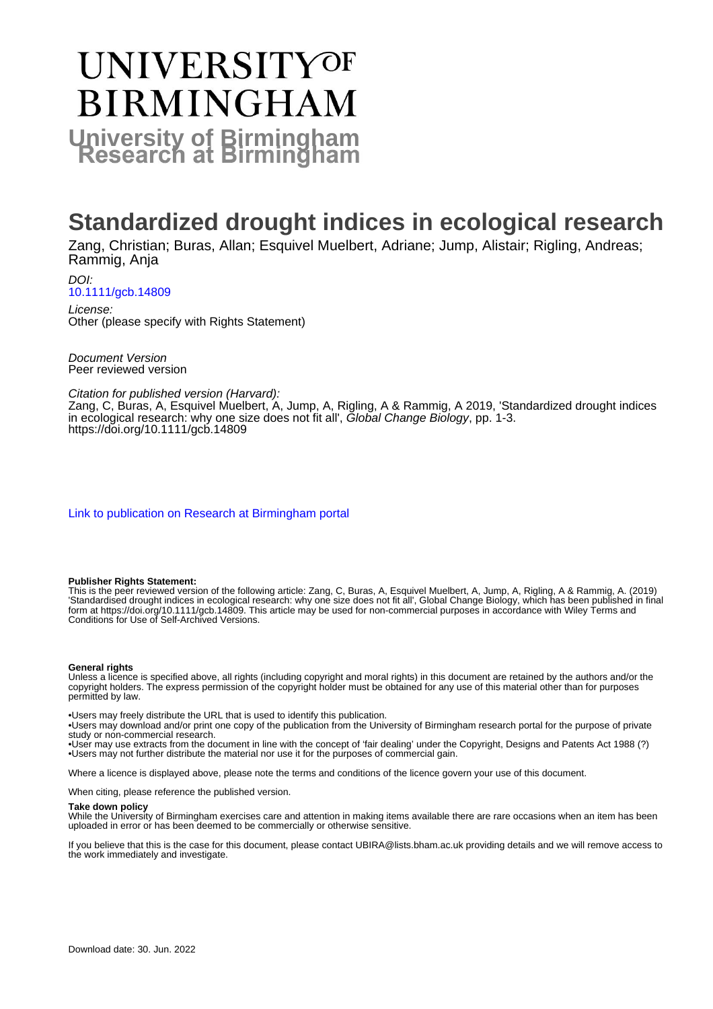# UNIVERSITYOF **BIRMINGHAM University of Birmingham**

## **Standardized drought indices in ecological research**

Zang, Christian; Buras, Allan; Esquivel Muelbert, Adriane; Jump, Alistair; Rigling, Andreas; Rammig, Anja

DOI: [10.1111/gcb.14809](https://doi.org/10.1111/gcb.14809)

License: Other (please specify with Rights Statement)

Document Version Peer reviewed version

Citation for published version (Harvard):

Zang, C, Buras, A, Esquivel Muelbert, A, Jump, A, Rigling, A & Rammig, A 2019, 'Standardized drought indices in ecological research: why one size does not fit all', Global Change Biology, pp. 1-3. <https://doi.org/10.1111/gcb.14809>

[Link to publication on Research at Birmingham portal](https://birmingham.elsevierpure.com/en/publications/353bbbbc-9e94-460e-be81-bc77a54b2308)

### **Publisher Rights Statement:**

This is the peer reviewed version of the following article: Zang, C, Buras, A, Esquivel Muelbert, A, Jump, A, Rigling, A & Rammig, A. (2019) 'Standardised drought indices in ecological research: why one size does not fit all', Global Change Biology, which has been published in final form at https://doi.org/10.1111/gcb.14809. This article may be used for non-commercial purposes in accordance with Wiley Terms and Conditions for Use of Self-Archived Versions.

### **General rights**

Unless a licence is specified above, all rights (including copyright and moral rights) in this document are retained by the authors and/or the copyright holders. The express permission of the copyright holder must be obtained for any use of this material other than for purposes permitted by law.

• Users may freely distribute the URL that is used to identify this publication.

• Users may download and/or print one copy of the publication from the University of Birmingham research portal for the purpose of private study or non-commercial research.

• User may use extracts from the document in line with the concept of 'fair dealing' under the Copyright, Designs and Patents Act 1988 (?) • Users may not further distribute the material nor use it for the purposes of commercial gain.

Where a licence is displayed above, please note the terms and conditions of the licence govern your use of this document.

When citing, please reference the published version.

#### **Take down policy**

While the University of Birmingham exercises care and attention in making items available there are rare occasions when an item has been uploaded in error or has been deemed to be commercially or otherwise sensitive.

If you believe that this is the case for this document, please contact UBIRA@lists.bham.ac.uk providing details and we will remove access to the work immediately and investigate.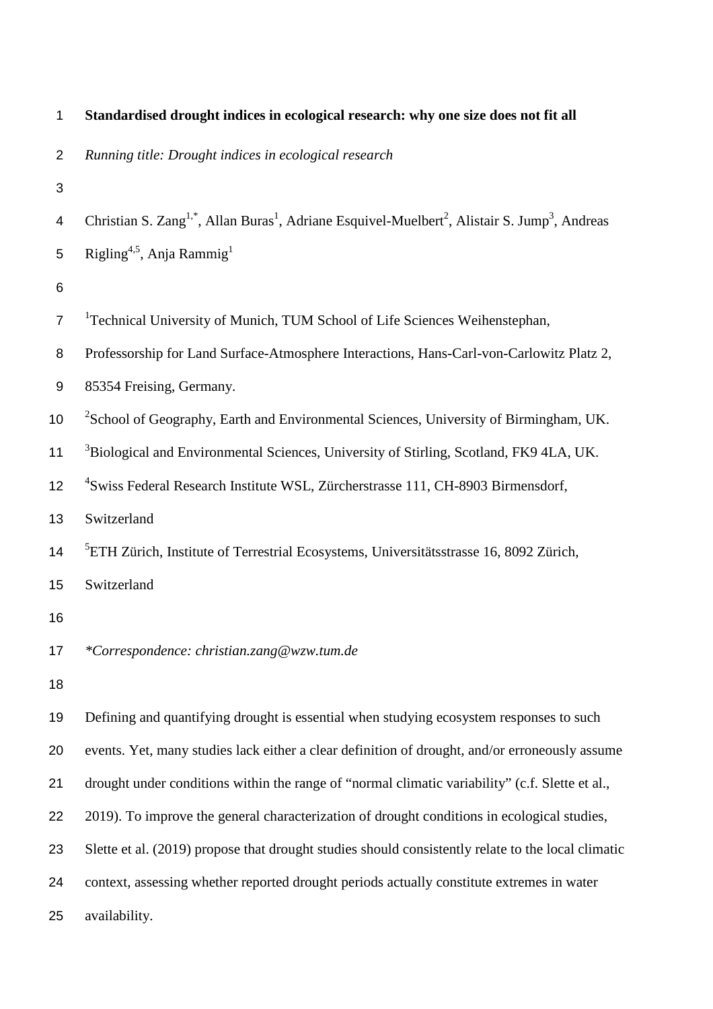| $\mathbf{1}$              | Standardised drought indices in ecological research: why one size does not fit all                                                             |
|---------------------------|------------------------------------------------------------------------------------------------------------------------------------------------|
| $\overline{2}$            | Running title: Drought indices in ecological research                                                                                          |
| $\ensuremath{\mathsf{3}}$ |                                                                                                                                                |
| 4                         | Christian S. Zang <sup>1,*</sup> , Allan Buras <sup>1</sup> , Adriane Esquivel-Muelbert <sup>2</sup> , Alistair S. Jump <sup>3</sup> , Andreas |
| 5                         | Rigling <sup>4,5</sup> , Anja Rammig <sup>1</sup>                                                                                              |
| $\,6$                     |                                                                                                                                                |
| $\overline{7}$            | <sup>1</sup> Technical University of Munich, TUM School of Life Sciences Weihenstephan,                                                        |
| $\bf 8$                   | Professorship for Land Surface-Atmosphere Interactions, Hans-Carl-von-Carlowitz Platz 2,                                                       |
| $\boldsymbol{9}$          | 85354 Freising, Germany.                                                                                                                       |
| 10                        | <sup>2</sup> School of Geography, Earth and Environmental Sciences, University of Birmingham, UK.                                              |
| 11                        | <sup>3</sup> Biological and Environmental Sciences, University of Stirling, Scotland, FK9 4LA, UK.                                             |
| 12                        | <sup>4</sup> Swiss Federal Research Institute WSL, Zürcherstrasse 111, CH-8903 Birmensdorf,                                                    |
| 13                        | Switzerland                                                                                                                                    |
| 14                        | <sup>5</sup> ETH Zürich, Institute of Terrestrial Ecosystems, Universitätsstrasse 16, 8092 Zürich,                                             |
| 15                        | Switzerland                                                                                                                                    |
| 16                        |                                                                                                                                                |
| 17                        | *Correspondence: christian.zang@wzw.tum.de                                                                                                     |
| 18                        |                                                                                                                                                |
| 19                        | Defining and quantifying drought is essential when studying ecosystem responses to such                                                        |
| 20                        | events. Yet, many studies lack either a clear definition of drought, and/or erroneously assume                                                 |
| 21                        | drought under conditions within the range of "normal climatic variability" (c.f. Slette et al.,                                                |
| 22                        | 2019). To improve the general characterization of drought conditions in ecological studies,                                                    |
| 23                        | Slette et al. (2019) propose that drought studies should consistently relate to the local climatic                                             |
| 24                        | context, assessing whether reported drought periods actually constitute extremes in water                                                      |
| 25                        | availability.                                                                                                                                  |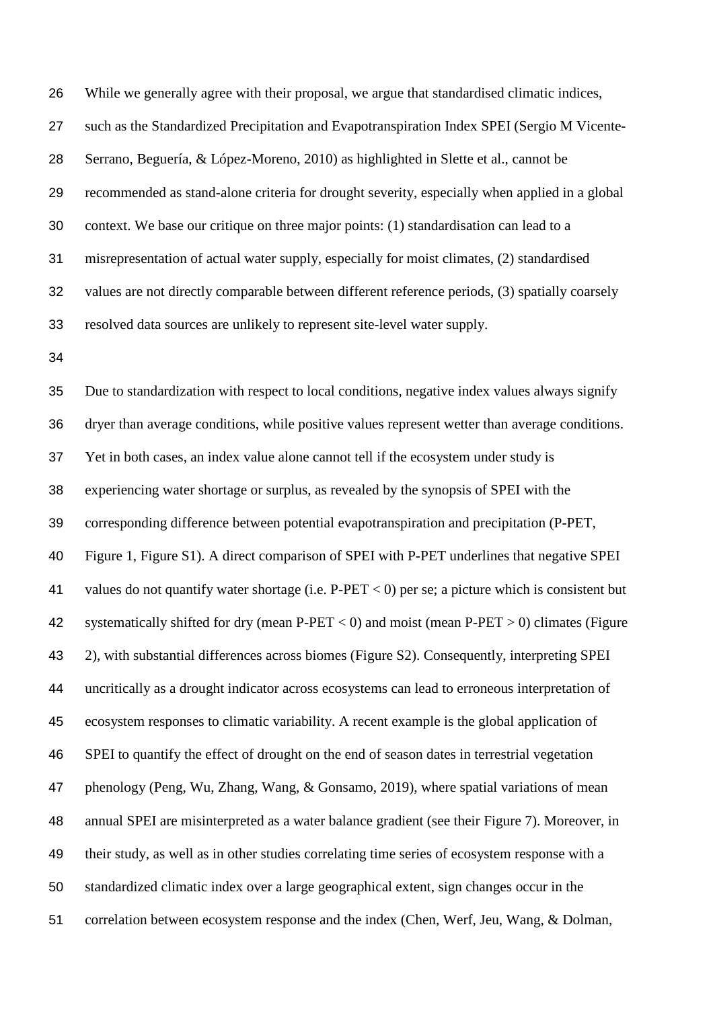While we generally agree with their proposal, we argue that standardised climatic indices, such as the Standardized Precipitation and Evapotranspiration Index SPEI (Sergio M Vicente- Serrano, Beguería, & López-Moreno, 2010) as highlighted in Slette et al., cannot be recommended as stand-alone criteria for drought severity, especially when applied in a global context. We base our critique on three major points: (1) standardisation can lead to a misrepresentation of actual water supply, especially for moist climates, (2) standardised values are not directly comparable between different reference periods, (3) spatially coarsely resolved data sources are unlikely to represent site-level water supply.

 Due to standardization with respect to local conditions, negative index values always signify dryer than average conditions, while positive values represent wetter than average conditions. Yet in both cases, an index value alone cannot tell if the ecosystem under study is experiencing water shortage or surplus, as revealed by the synopsis of SPEI with the corresponding difference between potential evapotranspiration and precipitation (P-PET, Figure 1, Figure S1). A direct comparison of SPEI with P-PET underlines that negative SPEI values do not quantify water shortage (i.e. P-PET < 0) per se; a picture which is consistent but 42 systematically shifted for dry (mean P-PET  $<$  0) and moist (mean P-PET  $>$  0) climates (Figure 2), with substantial differences across biomes (Figure S2). Consequently, interpreting SPEI uncritically as a drought indicator across ecosystems can lead to erroneous interpretation of ecosystem responses to climatic variability. A recent example is the global application of SPEI to quantify the effect of drought on the end of season dates in terrestrial vegetation phenology (Peng, Wu, Zhang, Wang, & Gonsamo, 2019), where spatial variations of mean annual SPEI are misinterpreted as a water balance gradient (see their Figure 7). Moreover, in their study, as well as in other studies correlating time series of ecosystem response with a standardized climatic index over a large geographical extent, sign changes occur in the correlation between ecosystem response and the index (Chen, Werf, Jeu, Wang, & Dolman,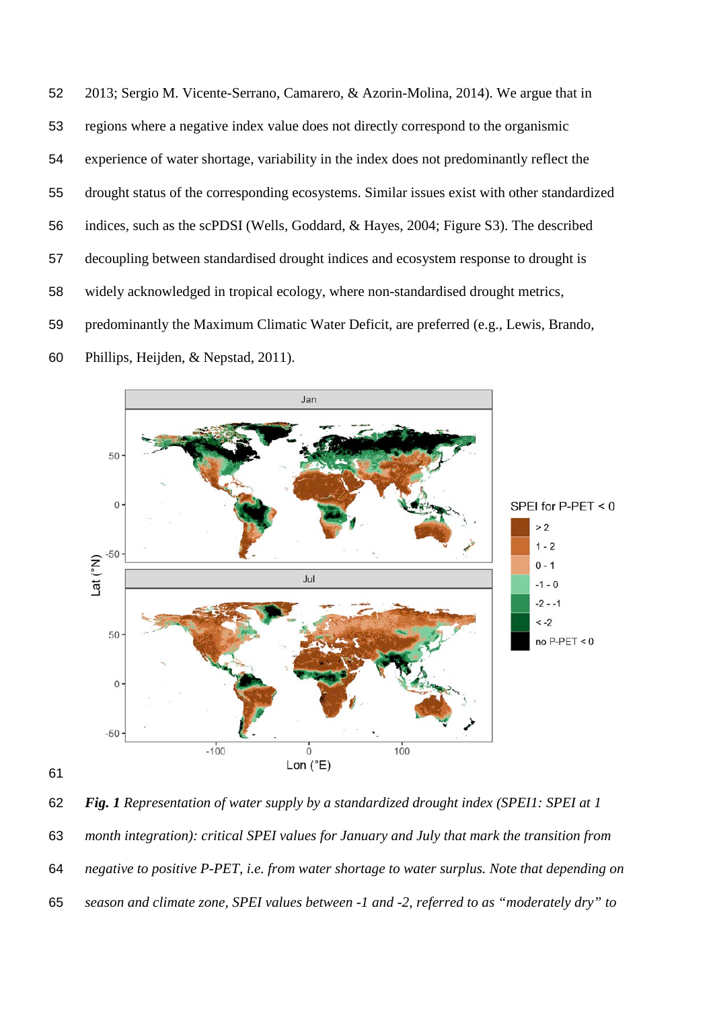2013; Sergio M. Vicente-Serrano, Camarero, & Azorin-Molina, 2014). We argue that in regions where a negative index value does not directly correspond to the organismic experience of water shortage, variability in the index does not predominantly reflect the drought status of the corresponding ecosystems. Similar issues exist with other standardized indices, such as the scPDSI (Wells, Goddard, & Hayes, 2004; Figure S3). The described decoupling between standardised drought indices and ecosystem response to drought is widely acknowledged in tropical ecology, where non-standardised drought metrics, predominantly the Maximum Climatic Water Deficit, are preferred (e.g., Lewis, Brando, Phillips, Heijden, & Nepstad, 2011).





 *Fig. 1 Representation of water supply by a standardized drought index (SPEI1: SPEI at 1 month integration): critical SPEI values for January and July that mark the transition from negative to positive P-PET, i.e. from water shortage to water surplus. Note that depending on season and climate zone, SPEI values between -1 and -2, referred to as "moderately dry" to*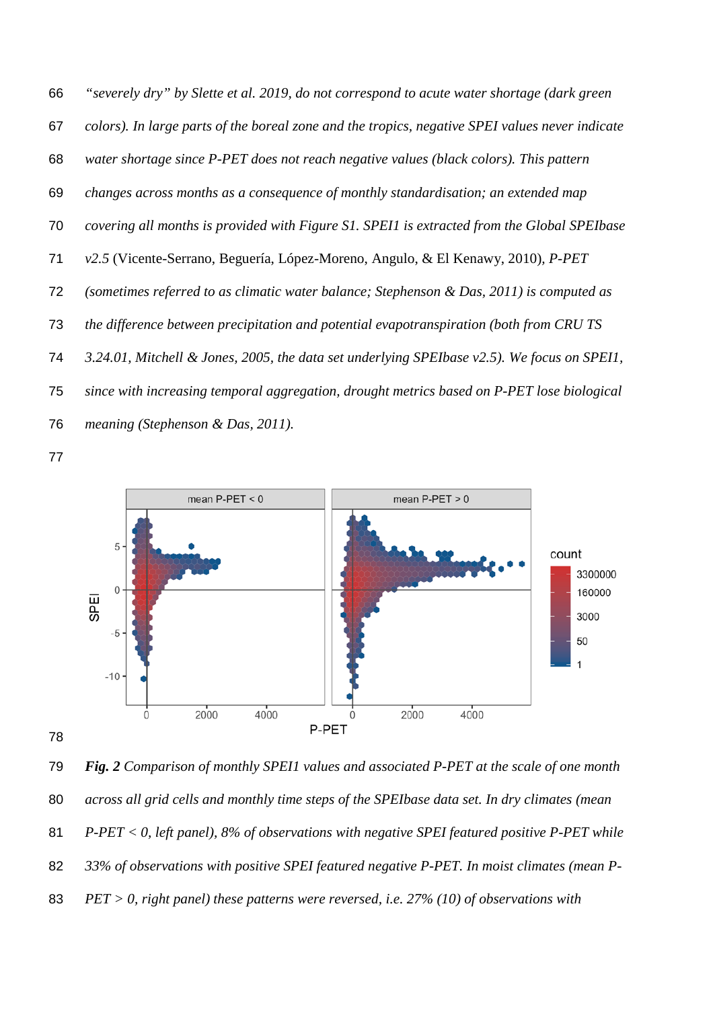*"severely dry" by Slette et al. 2019, do not correspond to acute water shortage (dark green colors). In large parts of the boreal zone and the tropics, negative SPEI values never indicate water shortage since P-PET does not reach negative values (black colors). This pattern changes across months as a consequence of monthly standardisation; an extended map covering all months is provided with Figure S1. SPEI1 is extracted from the Global SPEIbase v2.5* (Vicente-Serrano, Beguería, López-Moreno, Angulo, & El Kenawy, 2010)*, P-PET (sometimes referred to as climatic water balance; Stephenson & Das, 2011) is computed as the difference between precipitation and potential evapotranspiration (both from CRU TS 3.24.01, Mitchell & Jones, 2005, the data set underlying SPEIbase v2.5). We focus on SPEI1, since with increasing temporal aggregation, drought metrics based on P-PET lose biological meaning (Stephenson & Das, 2011).*



 *Fig. 2 Comparison of monthly SPEI1 values and associated P-PET at the scale of one month across all grid cells and monthly time steps of the SPEIbase data set. In dry climates (mean P-PET < 0, left panel), 8% of observations with negative SPEI featured positive P-PET while 33% of observations with positive SPEI featured negative P-PET. In moist climates (mean P-PET > 0, right panel) these patterns were reversed, i.e. 27% (10) of observations with*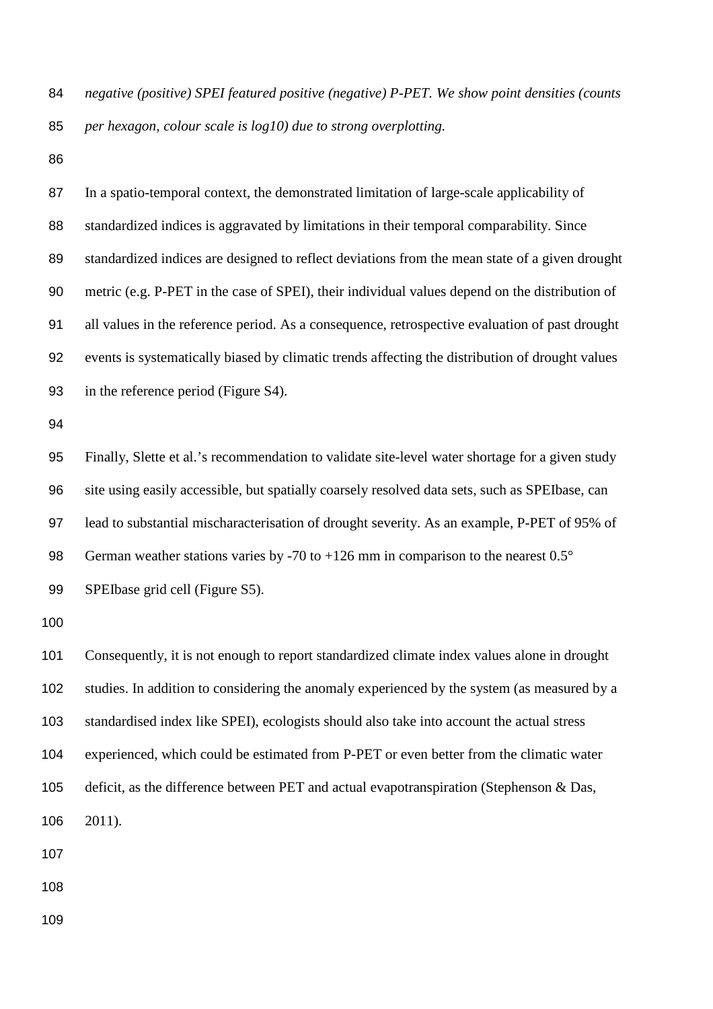*negative (positive) SPEI featured positive (negative) P-PET. We show point densities (counts per hexagon, colour scale is log10) due to strong overplotting.*

 In a spatio-temporal context, the demonstrated limitation of large-scale applicability of standardized indices is aggravated by limitations in their temporal comparability. Since standardized indices are designed to reflect deviations from the mean state of a given drought metric (e.g. P-PET in the case of SPEI), their individual values depend on the distribution of all values in the reference period. As a consequence, retrospective evaluation of past drought events is systematically biased by climatic trends affecting the distribution of drought values in the reference period (Figure S4). Finally, Slette et al.'s recommendation to validate site-level water shortage for a given study site using easily accessible, but spatially coarsely resolved data sets, such as SPEIbase, can lead to substantial mischaracterisation of drought severity. As an example, P-PET of 95% of 98 German weather stations varies by -70 to +126 mm in comparison to the nearest 0.5° SPEIbase grid cell (Figure S5). Consequently, it is not enough to report standardized climate index values alone in drought studies. In addition to considering the anomaly experienced by the system (as measured by a standardised index like SPEI), ecologists should also take into account the actual stress experienced, which could be estimated from P-PET or even better from the climatic water deficit, as the difference between PET and actual evapotranspiration (Stephenson & Das, 2011).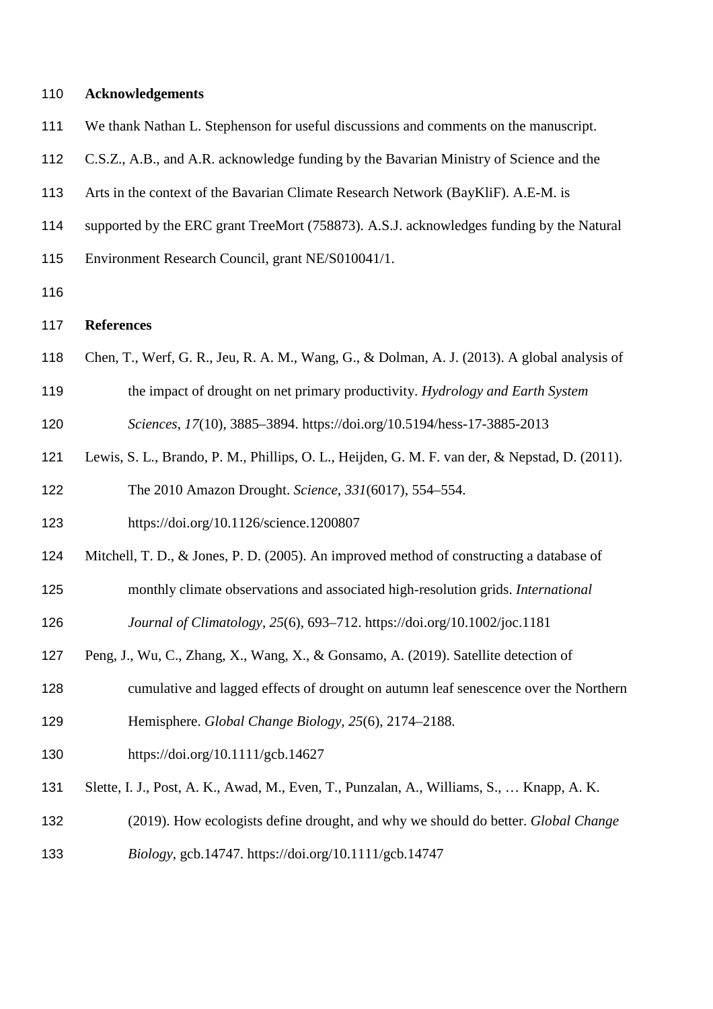| 110 | <b>Acknowledgements</b>                                                                        |
|-----|------------------------------------------------------------------------------------------------|
| 111 | We thank Nathan L. Stephenson for useful discussions and comments on the manuscript.           |
| 112 | C.S.Z., A.B., and A.R. acknowledge funding by the Bavarian Ministry of Science and the         |
| 113 | Arts in the context of the Bavarian Climate Research Network (BayKliF). A.E-M. is              |
| 114 | supported by the ERC grant TreeMort (758873). A.S.J. acknowledges funding by the Natural       |
| 115 | Environment Research Council, grant NE/S010041/1.                                              |
| 116 |                                                                                                |
| 117 | <b>References</b>                                                                              |
| 118 | Chen, T., Werf, G. R., Jeu, R. A. M., Wang, G., & Dolman, A. J. (2013). A global analysis of   |
| 119 | the impact of drought on net primary productivity. Hydrology and Earth System                  |
| 120 | Sciences, 17(10), 3885-3894. https://doi.org/10.5194/hess-17-3885-2013                         |
| 121 | Lewis, S. L., Brando, P. M., Phillips, O. L., Heijden, G. M. F. van der, & Nepstad, D. (2011). |
| 122 | The 2010 Amazon Drought. Science, 331(6017), 554-554.                                          |
| 123 | https://doi.org/10.1126/science.1200807                                                        |
| 124 | Mitchell, T. D., & Jones, P. D. (2005). An improved method of constructing a database of       |
| 125 | monthly climate observations and associated high-resolution grids. International               |
| 126 | Journal of Climatology, 25(6), 693-712. https://doi.org/10.1002/joc.1181                       |
| 127 | Peng, J., Wu, C., Zhang, X., Wang, X., & Gonsamo, A. (2019). Satellite detection of            |
| 128 | cumulative and lagged effects of drought on autumn leaf senescence over the Northern           |
| 129 | Hemisphere. Global Change Biology, 25(6), 2174-2188.                                           |
| 130 | https://doi.org/10.1111/gcb.14627                                                              |
| 131 | Slette, I. J., Post, A. K., Awad, M., Even, T., Punzalan, A., Williams, S.,  Knapp, A. K.      |
| 132 | (2019). How ecologists define drought, and why we should do better. Global Change              |
| 133 | Biology, gcb.14747. https://doi.org/10.1111/gcb.14747                                          |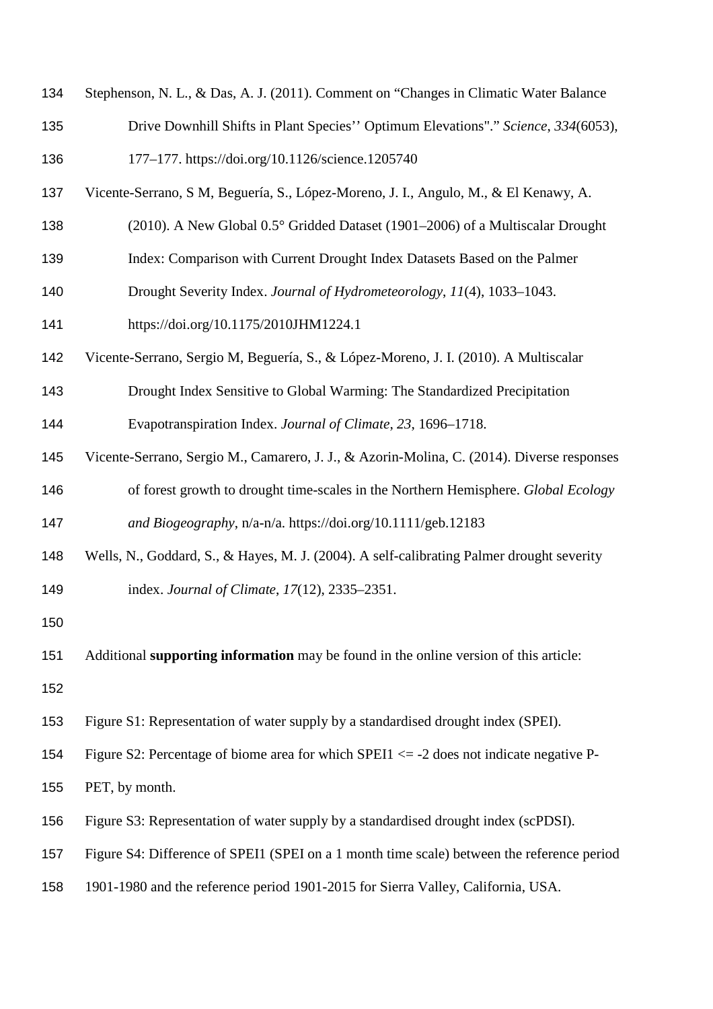| 134 | Stephenson, N. L., & Das, A. J. (2011). Comment on "Changes in Climatic Water Balance      |
|-----|--------------------------------------------------------------------------------------------|
| 135 | Drive Downhill Shifts in Plant Species" Optimum Elevations"." Science, 334(6053),          |
| 136 | 177-177. https://doi.org/10.1126/science.1205740                                           |
| 137 | Vicente-Serrano, S M, Beguería, S., López-Moreno, J. I., Angulo, M., & El Kenawy, A.       |
| 138 | (2010). A New Global 0.5° Gridded Dataset (1901–2006) of a Multiscalar Drought             |
| 139 | Index: Comparison with Current Drought Index Datasets Based on the Palmer                  |
| 140 | Drought Severity Index. Journal of Hydrometeorology, 11(4), 1033-1043.                     |
| 141 | https://doi.org/10.1175/2010JHM1224.1                                                      |
| 142 | Vicente-Serrano, Sergio M, Beguería, S., & López-Moreno, J. I. (2010). A Multiscalar       |
| 143 | Drought Index Sensitive to Global Warming: The Standardized Precipitation                  |
| 144 | Evapotranspiration Index. Journal of Climate, 23, 1696–1718.                               |
| 145 | Vicente-Serrano, Sergio M., Camarero, J. J., & Azorin-Molina, C. (2014). Diverse responses |
| 146 | of forest growth to drought time-scales in the Northern Hemisphere. Global Ecology         |
| 147 | and Biogeography, n/a-n/a. https://doi.org/10.1111/geb.12183                               |
| 148 | Wells, N., Goddard, S., & Hayes, M. J. (2004). A self-calibrating Palmer drought severity  |
| 149 | index. Journal of Climate, 17(12), 2335-2351.                                              |
| 150 |                                                                                            |
| 151 | Additional supporting information may be found in the online version of this article:      |
| 152 |                                                                                            |
| 153 | Figure S1: Representation of water supply by a standardised drought index (SPEI).          |
| 154 | Figure S2: Percentage of biome area for which SPEI1 $\le$ -2 does not indicate negative P- |
| 155 | PET, by month.                                                                             |
| 156 | Figure S3: Representation of water supply by a standardised drought index (scPDSI).        |
| 157 | Figure S4: Difference of SPEI1 (SPEI on a 1 month time scale) between the reference period |
| 158 | 1901-1980 and the reference period 1901-2015 for Sierra Valley, California, USA.           |